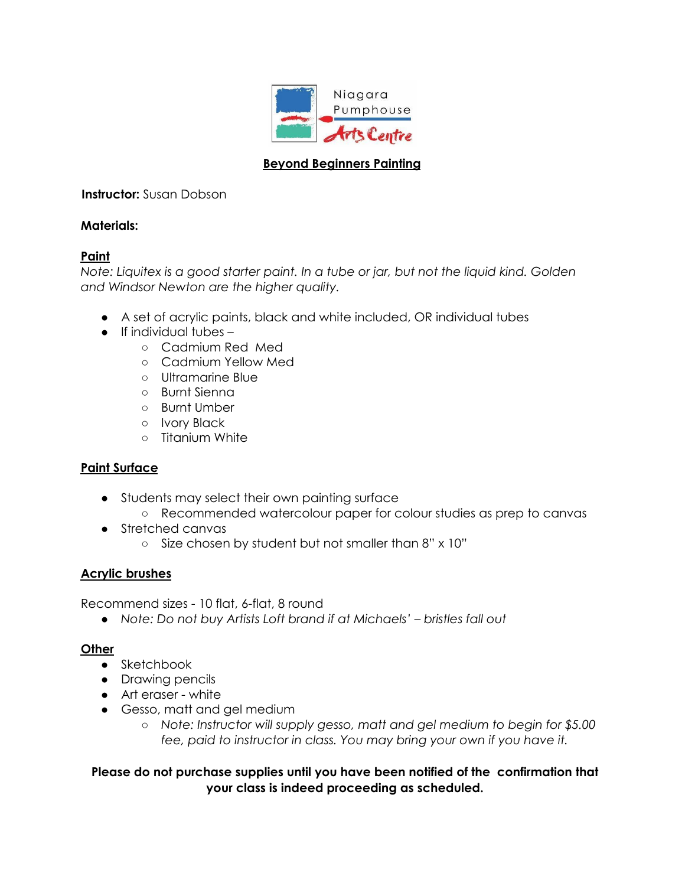

# **Beyond Beginners Painting**

## **Instructor:** Susan Dobson

### **Materials:**

## **Paint**

*Note: Liquitex is a good starter paint. In a tube or jar, but not the liquid kind. Golden and Windsor Newton are the higher quality.*

- A set of acrylic paints, black and white included, OR individual tubes
- If individual tubes
	- Cadmium Red Med
	- Cadmium Yellow Med
	- Ultramarine Blue
	- Burnt Sienna
	- Burnt Umber
	- Ivory Black
	- Titanium White

## **Paint Surface**

- Students may select their own painting surface
	- Recommended watercolour paper for colour studies as prep to canvas
- Stretched canvas
	- Size chosen by student but not smaller than 8" x 10"

### **Acrylic brushes**

Recommend sizes - 10 flat, 6-flat, 8 round

*● Note: Do not buy Artists Loft brand if at Michaels' – bristles fall out*

### **Other**

- Sketchbook
- Drawing pencils
- Art eraser white
- Gesso, matt and gel medium
	- *Note: Instructor will supply gesso, matt and gel medium to begin for \$5.00 fee, paid to instructor in class. You may bring your own if you have it.*

## **Please do not purchase supplies until you have been notified of the confirmation that your class is indeed proceeding as scheduled.**